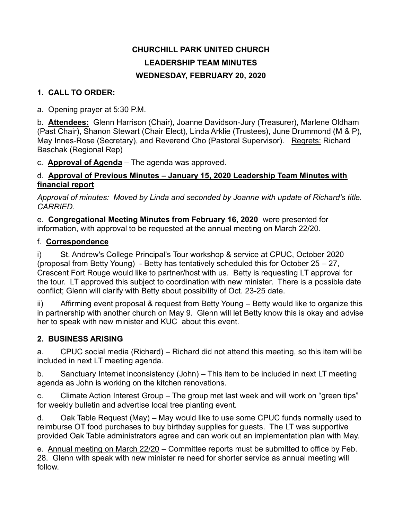# **CHURCHILL PARK UNITED CHURCH LEADERSHIP TEAM MINUTES WEDNESDAY, FEBRUARY 20, 2020**

### **1. CALL TO ORDER:**

a. Opening prayer at 5:30 P.M.

b. **Attendees:** Glenn Harrison (Chair), Joanne Davidson-Jury (Treasurer), Marlene Oldham (Past Chair), Shanon Stewart (Chair Elect), Linda Arklie (Trustees), June Drummond (M & P), May Innes-Rose (Secretary), and Reverend Cho (Pastoral Supervisor). Regrets: Richard Baschak (Regional Rep)

c. **Approval of Agenda** – The agenda was approved.

### d. **Approval of Previous Minutes – January 15, 2020 Leadership Team Minutes with financial report**

*Approval of minutes: Moved by Linda and seconded by Joanne with update of Richard's title. CARRIED.*

e. **Congregational Meeting Minutes from February 16, 2020** were presented for information, with approval to be requested at the annual meeting on March 22/20.

# f. **Correspondence**

i) St. Andrew's College Principal's Tour workshop & service at CPUC, October 2020 (proposal from Betty Young) - Betty has tentatively scheduled this for October 25 – 27, Crescent Fort Rouge would like to partner/host with us. Betty is requesting LT approval for the tour. LT approved this subject to coordination with new minister. There is a possible date conflict; Glenn will clarify with Betty about possibility of Oct. 23-25 date.

ii) Affirming event proposal & request from Betty Young – Betty would like to organize this in partnership with another church on May 9. Glenn will let Betty know this is okay and advise her to speak with new minister and KUC about this event.

# **2. BUSINESS ARISING**

a. CPUC social media (Richard) – Richard did not attend this meeting, so this item will be included in next LT meeting agenda.

b. Sanctuary Internet inconsistency (John) – This item to be included in next LT meeting agenda as John is working on the kitchen renovations.

c. Climate Action Interest Group – The group met last week and will work on "green tips" for weekly bulletin and advertise local tree planting event.

d. Oak Table Request (May) – May would like to use some CPUC funds normally used to reimburse OT food purchases to buy birthday supplies for guests. The LT was supportive provided Oak Table administrators agree and can work out an implementation plan with May.

e. Annual meeting on March 22/20 – Committee reports must be submitted to office by Feb. 28. Glenn with speak with new minister re need for shorter service as annual meeting will follow.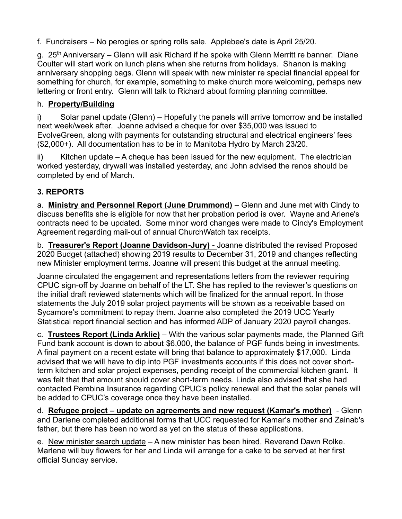f. Fundraisers – No perogies or spring rolls sale. Applebee's date is April 25/20.

g. 25<sup>th</sup> Anniversary – Glenn will ask Richard if he spoke with Glenn Merritt re banner. Diane Coulter will start work on lunch plans when she returns from holidays. Shanon is making anniversary shopping bags. Glenn will speak with new minister re special financial appeal for something for church, for example, something to make church more welcoming, perhaps new lettering or front entry. Glenn will talk to Richard about forming planning committee.

### h. **Property/Building**

i) Solar panel update (Glenn) – Hopefully the panels will arrive tomorrow and be installed next week/week after. Joanne advised a cheque for over \$35,000 was issued to EvolveGreen, along with payments for outstanding structural and electrical engineers' fees (\$2,000+). All documentation has to be in to Manitoba Hydro by March 23/20.

ii) Kitchen update – A cheque has been issued for the new equipment. The electrician worked yesterday, drywall was installed yesterday, and John advised the renos should be completed by end of March.

# **3. REPORTS**

a. **Ministry and Personnel Report (June Drummond)** – Glenn and June met with Cindy to discuss benefits she is eligible for now that her probation period is over. Wayne and Arlene's contracts need to be updated. Some minor word changes were made to Cindy's Employment Agreement regarding mail-out of annual ChurchWatch tax receipts.

b. **Treasurer's Report (Joanne Davidson-Jury)** - Joanne distributed the revised Proposed 2020 Budget (attached) showing 2019 results to December 31, 2019 and changes reflecting new Minister employment terms. Joanne will present this budget at the annual meeting.

Joanne circulated the engagement and representations letters from the reviewer requiring CPUC sign-off by Joanne on behalf of the LT. She has replied to the reviewer's questions on the initial draft reviewed statements which will be finalized for the annual report. In those statements the July 2019 solar project payments will be shown as a receivable based on Sycamore's commitment to repay them. Joanne also completed the 2019 UCC Yearly Statistical report financial section and has informed ADP of January 2020 payroll changes.

c. **Trustees Report (Linda Arklie)** – With the various solar payments made, the Planned Gift Fund bank account is down to about \$6,000, the balance of PGF funds being in investments. A final payment on a recent estate will bring that balance to approximately \$17,000. Linda advised that we will have to dip into PGF investments accounts if this does not cover shortterm kitchen and solar project expenses, pending receipt of the commercial kitchen grant. It was felt that that amount should cover short-term needs. Linda also advised that she had contacted Pembina Insurance regarding CPUC's policy renewal and that the solar panels will be added to CPUC's coverage once they have been installed.

d. **Refugee project – update on agreements and new request (Kamar's mother)** - Glenn and Darlene completed additional forms that UCC requested for Kamar's mother and Zainab's father, but there has been no word as yet on the status of these applications.

e. New minister search update – A new minister has been hired, Reverend Dawn Rolke. Marlene will buy flowers for her and Linda will arrange for a cake to be served at her first official Sunday service.